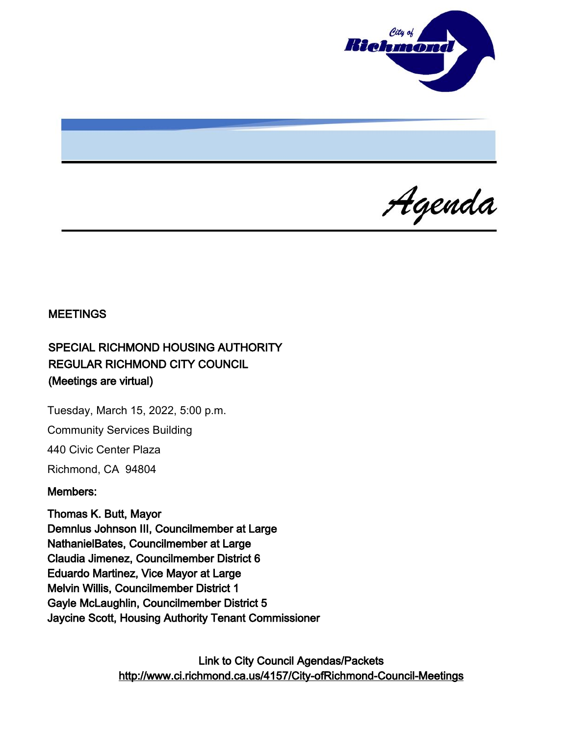

Agenda

### **MEETINGS**

# SPECIAL RICHMOND HOUSING AUTHORITY REGULAR RICHMOND CITY COUNCIL (Meetings are virtual)

Tuesday, March 15, 2022, 5:00 p.m. Community Services Building 440 Civic Center Plaza

Richmond, CA 94804

#### Members:

Thomas K. Butt, Mayor Demnlus Johnson III, Councilmember at Large NathanielBates, Councilmember at Large Claudia Jimenez, Councilmember District 6 Eduardo Martinez, Vice Mayor at Large Melvin Willis, Councilmember District 1 Gayle McLaughlin, Councilmember District 5 Jaycine Scott, Housing Authority Tenant Commissioner

> Link to City Council Agendas/Packets <http://www.ci.richmond.ca.us/4157/City-ofRichmond-Council-Meetings>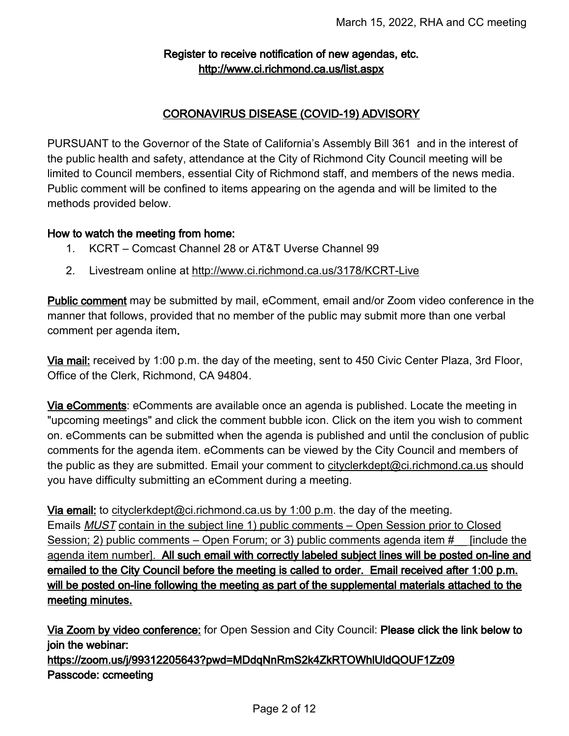### Register to receive notification of new agendas, etc. <http://www.ci.richmond.ca.us/list.aspx>

### CORONAVIRUS DISEASE (COVID-19) ADVISORY

PURSUANT to the Governor of the State of California's Assembly Bill 361 and in the interest of the public health and safety, attendance at the City of Richmond City Council meeting will be limited to Council members, essential City of Richmond staff, and members of the news media. Public comment will be confined to items appearing on the agenda and will be limited to the methods provided below.

#### How to watch the meeting from home:

- 1. KCRT Comcast Channel 28 or AT&T Uverse Channel 99
- 2. Livestream online at <http://www.ci.richmond.ca.us/3178/KCRT-Live>

**Public comment** may be submitted by mail, eComment, email and/or Zoom video conference in the manner that follows, provided that no member of the public may submit more than one verbal comment per agenda item.

Via mail: received by 1:00 p.m. the day of the meeting, sent to 450 Civic Center Plaza, 3rd Floor, Office of the Clerk, Richmond, CA 94804.

Via eComments: eComments are available once an agenda is published. Locate the meeting in "upcoming meetings" and click the comment bubble icon. Click on the item you wish to comment on. eComments can be submitted when the agenda is published and until the conclusion of public comments for the agenda item. eComments can be viewed by the City Council and members of the public as they are submitted. Email your comment to [cityclerkdept@ci.richmond.ca.us](mailto:cityclerkdept@ci.richmond.ca.us) should you have difficulty submitting an eComment during a meeting.

Via email: to [cityclerkdept@ci.richmond.ca.us](mailto:cityclerkdept@ci.richmond.ca.us) by 1:00 p.m. the day of the meeting. Emails **MUST** contain in the subject line 1) public comments – Open Session prior to Closed Session; 2) public comments – Open Forum; or 3) public comments agenda item  $\#$  [include the agenda item number]. All such email with correctly labeled subject lines will be posted on-line and emailed to the City Council before the meeting is called to order. Email received after 1:00 p.m. will be posted on-line following the meeting as part of the supplemental materials attached to the meeting minutes.

Via Zoom by video conference: for Open Session and City Council: Please click the link below to join the webinar:

https://zoom.us/j/99312205643?pwd=MDdqNnRmS2k4ZkRTOWhlUldQOUF1Zz09 Passcode: ccmeeting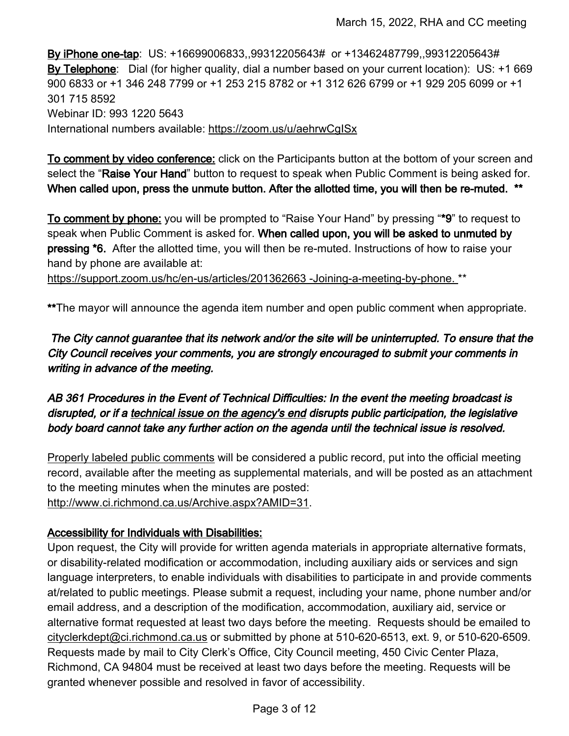By iPhone one-tap: US: +16699006833,,99312205643# or +13462487799,,99312205643# By Telephone: Dial (for higher quality, dial a number based on your current location): US: +1 669 900 6833 or +1 346 248 7799 or +1 253 215 8782 or +1 312 626 6799 or +1 929 205 6099 or +1 301 715 8592 Webinar ID: 993 1220 5643 International numbers available: <https://zoom.us/u/aehrwCgISx>

To comment by video conference: click on the Participants button at the bottom of your screen and select the "Raise Your Hand" button to request to speak when Public Comment is being asked for. When called upon, press the unmute button. After the allotted time, you will then be re-muted. \*\*

To comment by phone: you will be prompted to "Raise Your Hand" by pressing "\*9" to request to speak when Public Comment is asked for. When called upon, you will be asked to unmuted by pressing \*6. After the allotted time, you will then be re-muted. Instructions of how to raise your hand by phone are available at:

[https://support.zoom.us/hc/en-us/articles/201362663 -Joining-a-meeting-by-phone.](https://support.zoom.us/hc/en-us/articles/201362663%20-Joining-a-meeting-by-phone.) \*\*

\*\*The mayor will announce the agenda item number and open public comment when appropriate.

The City cannot guarantee that its network and/or the site will be uninterrupted. To ensure that the City Council receives your comments, you are strongly encouraged to submit your comments in writing in advance of the meeting.

AB 361 Procedures in the Event of Technical Difficulties: In the event the meeting broadcast is disrupted, or if a technical issue on the agency's end disrupts public participation, the legislative body board cannot take any further action on the agenda until the technical issue is resolved.

Properly labeled public comments will be considered a public record, put into the official meeting record, available after the meeting as supplemental materials, and will be posted as an attachment to the meeting minutes when the minutes are posted: [http://www.ci.richmond.ca.us/Archive.aspx?AMID=31.](http://www.ci.richmond.ca.us/Archive.aspx?AMID=31)

### Accessibility for Individuals with Disabilities:

Upon request, the City will provide for written agenda materials in appropriate alternative formats, or disability-related modification or accommodation, including auxiliary aids or services and sign language interpreters, to enable individuals with disabilities to participate in and provide comments at/related to public meetings. Please submit a request, including your name, phone number and/or email address, and a description of the modification, accommodation, auxiliary aid, service or alternative format requested at least two days before the meeting. Requests should be emailed to [cityclerkdept@ci.richmond.ca.us](mailto:cityclerkdept@ci.richmond.ca.us) or submitted by phone at 510-620-6513, ext. 9, or 510-620-6509. Requests made by mail to City Clerk's Office, City Council meeting, 450 Civic Center Plaza, Richmond, CA 94804 must be received at least two days before the meeting. Requests will be granted whenever possible and resolved in favor of accessibility.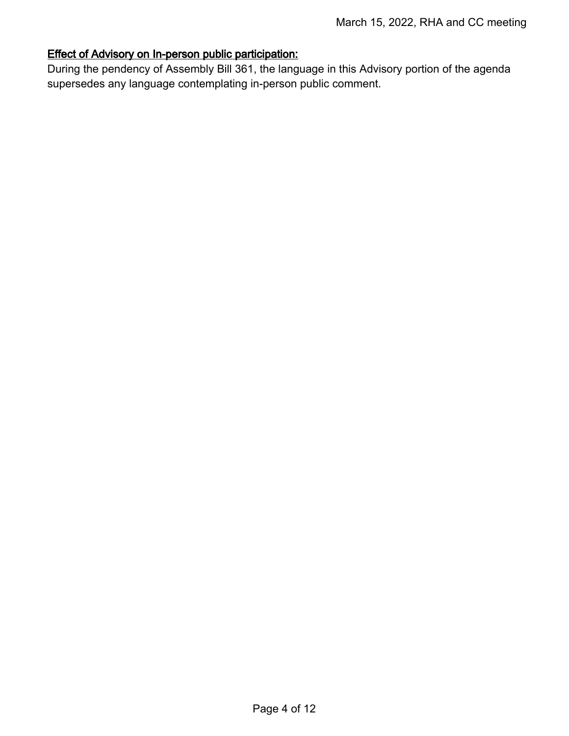### Effect of Advisory on In-person public participation:

During the pendency of Assembly Bill 361, the language in this Advisory portion of the agenda supersedes any language contemplating in-person public comment.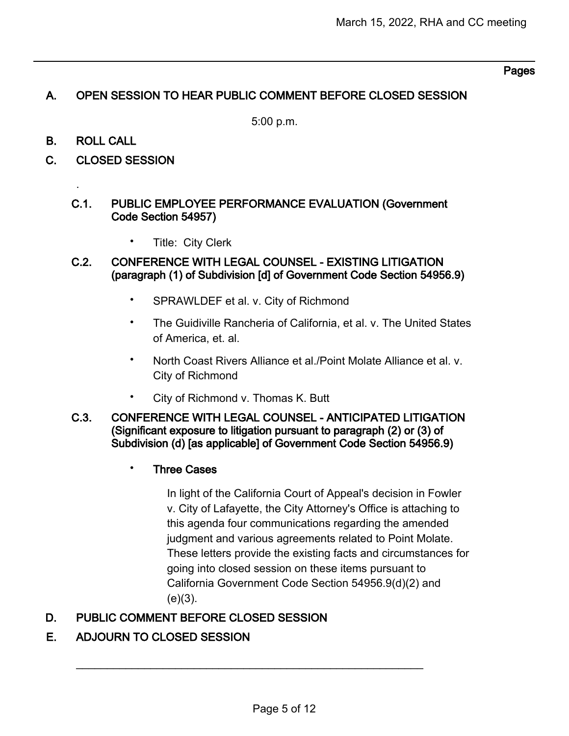### Pages

### A. OPEN SESSION TO HEAR PUBLIC COMMENT BEFORE CLOSED SESSION

5:00 p.m.

B. ROLL CALL

.

- C. CLOSED SESSION
	- C.1. PUBLIC EMPLOYEE PERFORMANCE EVALUATION (Government Code Section 54957)
		- Title: City Clerk
	- C.2. CONFERENCE WITH LEGAL COUNSEL EXISTING LITIGATION (paragraph (1) of Subdivision [d] of Government Code Section 54956.9)
		- SPRAWLDEF et al. v. City of Richmond
		- The Guidiville Rancheria of California, et al. v. The United States of America, et. al.
		- North Coast Rivers Alliance et al./Point Molate Alliance et al. v. City of Richmond
		- City of Richmond v. Thomas K. Butt
	- C.3. CONFERENCE WITH LEGAL COUNSEL ANTICIPATED LITIGATION (Significant exposure to litigation pursuant to paragraph (2) or (3) of Subdivision (d) [as applicable] of Government Code Section 54956.9)
		- Three Cases

In light of the California Court of Appeal's decision in Fowler v. City of Lafayette, the City Attorney's Office is attaching to this agenda four communications regarding the amended judgment and various agreements related to Point Molate. These letters provide the existing facts and circumstances for going into closed session on these items pursuant to California Government Code Section 54956.9(d)(2) and  $(e)(3)$ .

## D. PUBLIC COMMENT BEFORE CLOSED SESSION

## E. ADJOURN TO CLOSED SESSION

 $\mathcal{L}_\text{max}$  , and the contract of the contract of the contract of the contract of the contract of the contract of the contract of the contract of the contract of the contract of the contract of the contract of the contr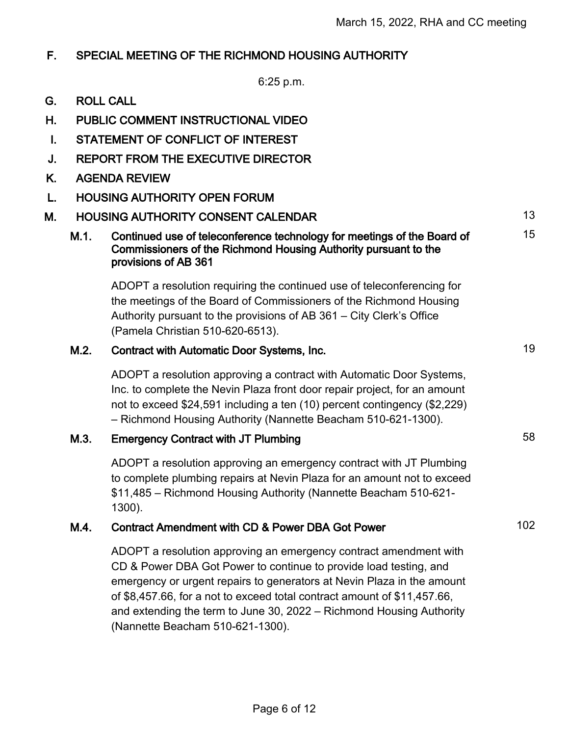15

### F. SPECIAL MEETING OF THE RICHMOND HOUSING AUTHORITY

6:25 p.m.

- G. ROLL CALL
- H. PUBLIC COMMENT INSTRUCTIONAL VIDEO
- I. STATEMENT OF CONFLICT OF INTEREST
- J. REPORT FROM THE EXECUTIVE DIRECTOR
- K. AGENDA REVIEW
- L. HOUSING AUTHORITY OPEN FORUM
- M. HOUSING AUTHORITY CONSENT CALENDAR 13
	- M.1. Continued use of teleconference technology for meetings of the Board of Commissioners of the Richmond Housing Authority pursuant to the provisions of AB 361

ADOPT a resolution requiring the continued use of teleconferencing for the meetings of the Board of Commissioners of the Richmond Housing Authority pursuant to the provisions of AB 361 – City Clerk's Office (Pamela Christian 510-620-6513).

#### M.2. Contract with Automatic Door Systems, Inc. 19

ADOPT a resolution approving a contract with Automatic Door Systems, Inc. to complete the Nevin Plaza front door repair project, for an amount not to exceed \$24,591 including a ten (10) percent contingency (\$2,229) – Richmond Housing Authority (Nannette Beacham 510-621-1300).

### M.3. Emergency Contract with JT Plumbing 68 and 58

ADOPT a resolution approving an emergency contract with JT Plumbing to complete plumbing repairs at Nevin Plaza for an amount not to exceed \$11,485 – Richmond Housing Authority (Nannette Beacham 510-621- 1300).

### M.4. Contract Amendment with CD & Power DBA Got Power

ADOPT a resolution approving an emergency contract amendment with CD & Power DBA Got Power to continue to provide load testing, and emergency or urgent repairs to generators at Nevin Plaza in the amount of \$8,457.66, for a not to exceed total contract amount of \$11,457.66, and extending the term to June 30, 2022 – Richmond Housing Authority (Nannette Beacham 510-621-1300).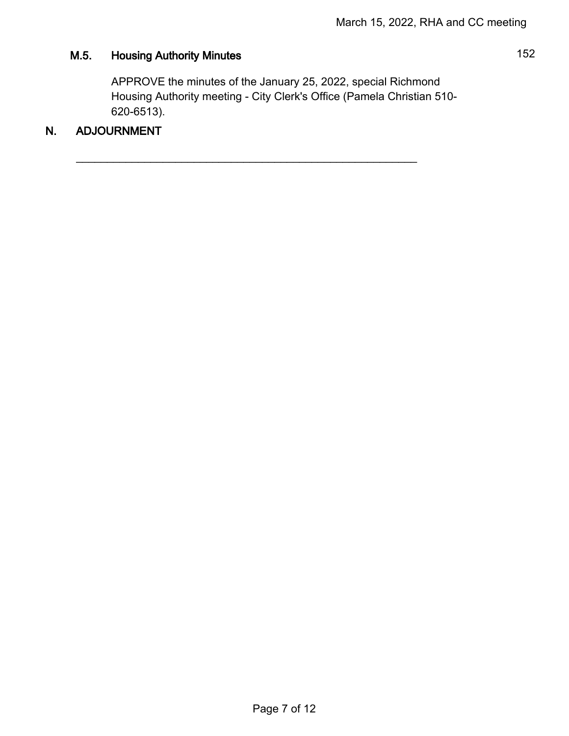# M.5. Housing Authority Minutes **152**

APPROVE the minutes of the January 25, 2022, special Richmond Housing Authority meeting - City Clerk's Office (Pamela Christian 510- 620-6513).

 $\overline{\phantom{a}}$  , and the contribution of the contribution of the contribution of the contribution of the contribution of the contribution of the contribution of the contribution of the contribution of the contribution of the

## N. ADJOURNMENT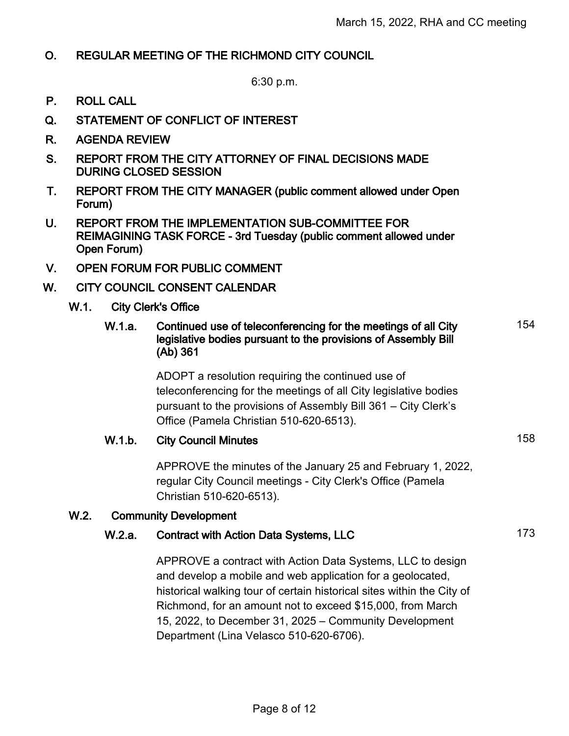### O. REGULAR MEETING OF THE RICHMOND CITY COUNCIL

6:30 p.m.

- P. ROLL CALL
- Q. STATEMENT OF CONFLICT OF INTEREST
- R. AGENDA REVIEW
- S. REPORT FROM THE CITY ATTORNEY OF FINAL DECISIONS MADE DURING CLOSED SESSION
- T. REPORT FROM THE CITY MANAGER (public comment allowed under Open Forum)
- U. REPORT FROM THE IMPLEMENTATION SUB-COMMITTEE FOR REIMAGINING TASK FORCE - 3rd Tuesday (public comment allowed under Open Forum)
- V. OPEN FORUM FOR PUBLIC COMMENT
- W. CITY COUNCIL CONSENT CALENDAR

#### W.1. City Clerk's Office

#### W.1.a. Continued use of teleconferencing for the meetings of all City legislative bodies pursuant to the provisions of Assembly Bill (Ab) 361 154

ADOPT a resolution requiring the continued use of teleconferencing for the meetings of all City legislative bodies pursuant to the provisions of Assembly Bill 361 – City Clerk's Office (Pamela Christian 510-620-6513).

#### W.1.b. City Council Minutes 158

APPROVE the minutes of the January 25 and February 1, 2022, regular City Council meetings - City Clerk's Office (Pamela Christian 510-620-6513).

#### W.2. Community Development

### W.2.a. Contract with Action Data Systems, LLC 173

APPROVE a contract with Action Data Systems, LLC to design and develop a mobile and web application for a geolocated, historical walking tour of certain historical sites within the City of Richmond, for an amount not to exceed \$15,000, from March 15, 2022, to December 31, 2025 – Community Development Department (Lina Velasco 510-620-6706).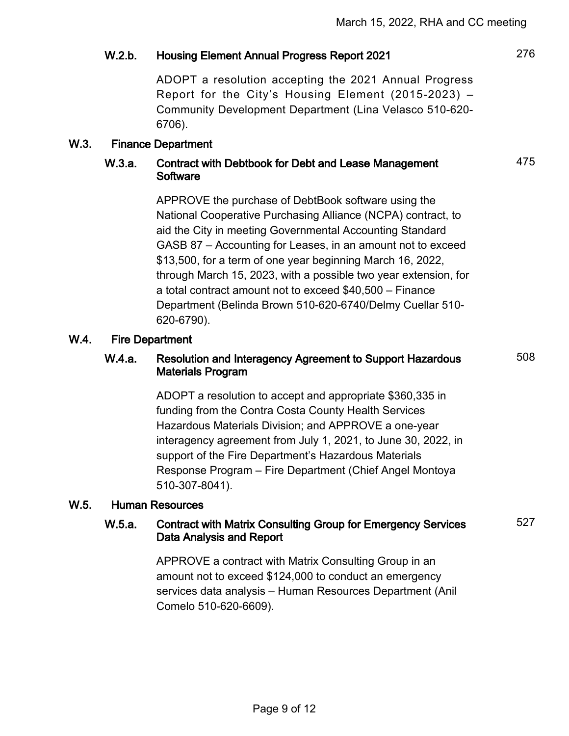### W.2.b. Housing Element Annual Progress Report 2021 276

ADOPT a resolution accepting the 2021 Annual Progress Report for the City's Housing Element (2015-2023) – Community Development Department (Lina Velasco 510-620- 6706).

#### W.3. Finance Department

#### W.3.a. Contract with Debtbook for Debt and Lease Management **Software**

APPROVE the purchase of DebtBook software using the National Cooperative Purchasing Alliance (NCPA) contract, to aid the City in meeting Governmental Accounting Standard GASB 87 – Accounting for Leases, in an amount not to exceed \$13,500, for a term of one year beginning March 16, 2022, through March 15, 2023, with a possible two year extension, for a total contract amount not to exceed \$40,500 – Finance Department (Belinda Brown 510-620-6740/Delmy Cuellar 510- 620-6790).

#### W.4. Fire Department

#### W.4.a. Resolution and Interagency Agreement to Support Hazardous Materials Program

ADOPT a resolution to accept and appropriate \$360,335 in funding from the Contra Costa County Health Services Hazardous Materials Division; and APPROVE a one-year interagency agreement from July 1, 2021, to June 30, 2022, in support of the Fire Department's Hazardous Materials Response Program – Fire Department (Chief Angel Montoya 510-307-8041).

#### W.5. Human Resources

#### W.5.a. Contract with Matrix Consulting Group for Emergency Services Data Analysis and Report

527

508

475

APPROVE a contract with Matrix Consulting Group in an amount not to exceed \$124,000 to conduct an emergency services data analysis – Human Resources Department (Anil Comelo 510-620-6609).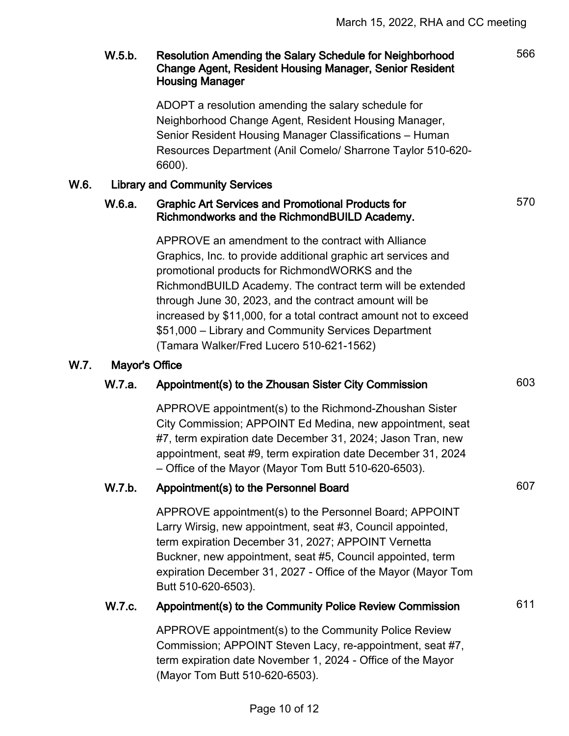566

570

### W.5.b. Resolution Amending the Salary Schedule for Neighborhood Change Agent, Resident Housing Manager, Senior Resident Housing Manager

ADOPT a resolution amending the salary schedule for Neighborhood Change Agent, Resident Housing Manager, Senior Resident Housing Manager Classifications – Human Resources Department (Anil Comelo/ Sharrone Taylor 510-620- 6600).

### W.6. Library and Community Services

### W.6.a. Graphic Art Services and Promotional Products for Richmondworks and the RichmondBUILD Academy.

APPROVE an amendment to the contract with Alliance Graphics, Inc. to provide additional graphic art services and promotional products for RichmondWORKS and the RichmondBUILD Academy. The contract term will be extended through June 30, 2023, and the contract amount will be increased by \$11,000, for a total contract amount not to exceed \$51,000 – Library and Community Services Department (Tamara Walker/Fred Lucero 510-621-1562)

#### W.7. Mayor's Office

### W.7.a. Appointment(s) to the Zhousan Sister City Commission 603

APPROVE appointment(s) to the Richmond-Zhoushan Sister City Commission; APPOINT Ed Medina, new appointment, seat #7, term expiration date December 31, 2024; Jason Tran, new appointment, seat #9, term expiration date December 31, 2024 – Office of the Mayor (Mayor Tom Butt 510-620-6503).

### W.7.b. Appointment(s) to the Personnel Board 607

APPROVE appointment(s) to the Personnel Board; APPOINT Larry Wirsig, new appointment, seat #3, Council appointed, term expiration December 31, 2027; APPOINT Vernetta Buckner, new appointment, seat #5, Council appointed, term expiration December 31, 2027 - Office of the Mayor (Mayor Tom Butt 510-620-6503).

## W.7.c. Appointment(s) to the Community Police Review Commission 611

APPROVE appointment(s) to the Community Police Review Commission; APPOINT Steven Lacy, re-appointment, seat #7, term expiration date November 1, 2024 - Office of the Mayor (Mayor Tom Butt 510-620-6503).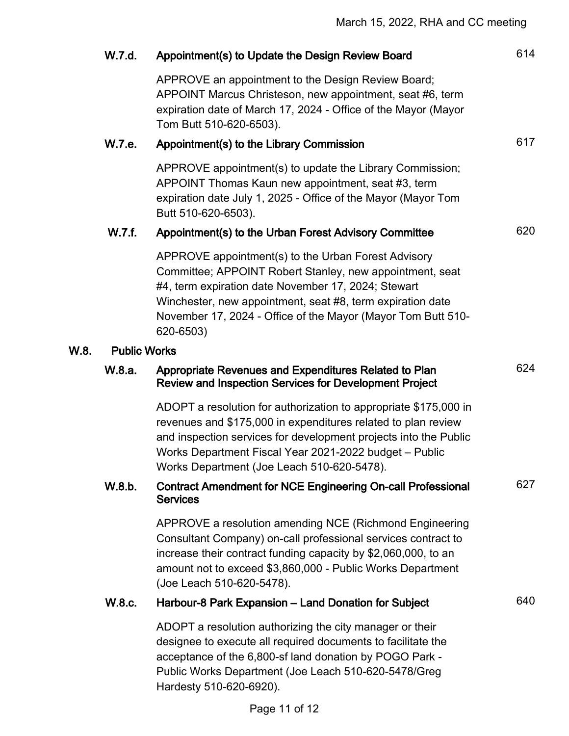|      | W.7.d.              | Appointment(s) to Update the Design Review Board                                                                                                                                                                                                                                                                  | 614 |
|------|---------------------|-------------------------------------------------------------------------------------------------------------------------------------------------------------------------------------------------------------------------------------------------------------------------------------------------------------------|-----|
|      |                     | APPROVE an appointment to the Design Review Board;<br>APPOINT Marcus Christeson, new appointment, seat #6, term<br>expiration date of March 17, 2024 - Office of the Mayor (Mayor<br>Tom Butt 510-620-6503).                                                                                                      |     |
|      | W.7.e.              | Appointment(s) to the Library Commission                                                                                                                                                                                                                                                                          | 617 |
|      |                     | APPROVE appointment(s) to update the Library Commission;<br>APPOINT Thomas Kaun new appointment, seat #3, term<br>expiration date July 1, 2025 - Office of the Mayor (Mayor Tom<br>Butt 510-620-6503).                                                                                                            |     |
|      | W.7.f.              | Appointment(s) to the Urban Forest Advisory Committee                                                                                                                                                                                                                                                             | 620 |
|      |                     | APPROVE appointment(s) to the Urban Forest Advisory<br>Committee; APPOINT Robert Stanley, new appointment, seat<br>#4, term expiration date November 17, 2024; Stewart<br>Winchester, new appointment, seat #8, term expiration date<br>November 17, 2024 - Office of the Mayor (Mayor Tom Butt 510-<br>620-6503) |     |
| W.8. | <b>Public Works</b> |                                                                                                                                                                                                                                                                                                                   |     |
|      | W.8.a.              | Appropriate Revenues and Expenditures Related to Plan<br><b>Review and Inspection Services for Development Project</b>                                                                                                                                                                                            | 624 |
|      |                     | ADOPT a resolution for authorization to appropriate \$175,000 in<br>revenues and \$175,000 in expenditures related to plan review<br>and inspection services for development projects into the Public<br>Works Department Fiscal Year 2021-2022 budget - Public<br>Works Department (Joe Leach 510-620-5478).     |     |
|      | W.8.b.              | <b>Contract Amendment for NCE Engineering On-call Professional</b><br><b>Services</b>                                                                                                                                                                                                                             | 627 |
|      |                     | APPROVE a resolution amending NCE (Richmond Engineering<br>Consultant Company) on-call professional services contract to<br>increase their contract funding capacity by \$2,060,000, to an<br>amount not to exceed \$3,860,000 - Public Works Department<br>(Joe Leach 510-620-5478).                             |     |
|      | W.8.c.              | Harbour-8 Park Expansion - Land Donation for Subject                                                                                                                                                                                                                                                              | 640 |
|      |                     | ADOPT a resolution authorizing the city manager or their<br>designee to execute all required documents to facilitate the<br>acceptance of the 6,800-sf land donation by POGO Park -<br>Public Works Department (Joe Leach 510-620-5478/Greg<br>Hardesty 510-620-6920).                                            |     |